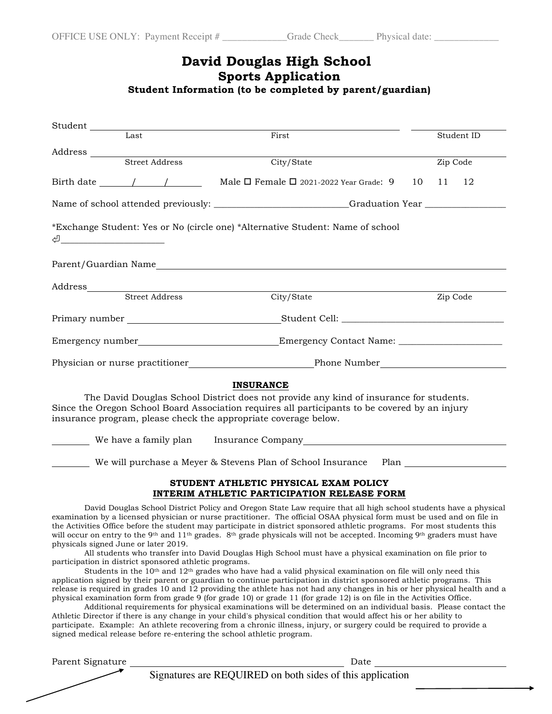# **David Douglas High School Sports Application**

# **Student Information (to be completed by parent/guardian)**

| Student                                                                                                                                                                                                                                                                                                                    |  |                                                        |                                                                                                                                                                                                                                                                                                                                                                                                                                                                                                                                                                                                                                                                                                                                                                                                                                                                                                                                                                                                                                                                                                                                                                                                                                                                                                                                                                                                                                                                                                                                                                                                                |          |            |    |  |  |  |
|----------------------------------------------------------------------------------------------------------------------------------------------------------------------------------------------------------------------------------------------------------------------------------------------------------------------------|--|--------------------------------------------------------|----------------------------------------------------------------------------------------------------------------------------------------------------------------------------------------------------------------------------------------------------------------------------------------------------------------------------------------------------------------------------------------------------------------------------------------------------------------------------------------------------------------------------------------------------------------------------------------------------------------------------------------------------------------------------------------------------------------------------------------------------------------------------------------------------------------------------------------------------------------------------------------------------------------------------------------------------------------------------------------------------------------------------------------------------------------------------------------------------------------------------------------------------------------------------------------------------------------------------------------------------------------------------------------------------------------------------------------------------------------------------------------------------------------------------------------------------------------------------------------------------------------------------------------------------------------------------------------------------------------|----------|------------|----|--|--|--|
| Last                                                                                                                                                                                                                                                                                                                       |  |                                                        | First                                                                                                                                                                                                                                                                                                                                                                                                                                                                                                                                                                                                                                                                                                                                                                                                                                                                                                                                                                                                                                                                                                                                                                                                                                                                                                                                                                                                                                                                                                                                                                                                          |          | Student ID |    |  |  |  |
| Address                                                                                                                                                                                                                                                                                                                    |  |                                                        |                                                                                                                                                                                                                                                                                                                                                                                                                                                                                                                                                                                                                                                                                                                                                                                                                                                                                                                                                                                                                                                                                                                                                                                                                                                                                                                                                                                                                                                                                                                                                                                                                |          |            |    |  |  |  |
| <b>Street Address</b>                                                                                                                                                                                                                                                                                                      |  |                                                        | City/State                                                                                                                                                                                                                                                                                                                                                                                                                                                                                                                                                                                                                                                                                                                                                                                                                                                                                                                                                                                                                                                                                                                                                                                                                                                                                                                                                                                                                                                                                                                                                                                                     |          | Zip Code   |    |  |  |  |
| Birth date $\frac{1}{\sqrt{2}}$                                                                                                                                                                                                                                                                                            |  |                                                        | Male □ Female □ 2021-2022 Year Grade: 9                                                                                                                                                                                                                                                                                                                                                                                                                                                                                                                                                                                                                                                                                                                                                                                                                                                                                                                                                                                                                                                                                                                                                                                                                                                                                                                                                                                                                                                                                                                                                                        | 10       | 11         | 12 |  |  |  |
|                                                                                                                                                                                                                                                                                                                            |  |                                                        | Name of school attended previously: _________________________Graduation Year _______________________                                                                                                                                                                                                                                                                                                                                                                                                                                                                                                                                                                                                                                                                                                                                                                                                                                                                                                                                                                                                                                                                                                                                                                                                                                                                                                                                                                                                                                                                                                           |          |            |    |  |  |  |
|                                                                                                                                                                                                                                                                                                                            |  |                                                        | *Exchange Student: Yes or No (circle one) *Alternative Student: Name of school                                                                                                                                                                                                                                                                                                                                                                                                                                                                                                                                                                                                                                                                                                                                                                                                                                                                                                                                                                                                                                                                                                                                                                                                                                                                                                                                                                                                                                                                                                                                 |          |            |    |  |  |  |
|                                                                                                                                                                                                                                                                                                                            |  |                                                        |                                                                                                                                                                                                                                                                                                                                                                                                                                                                                                                                                                                                                                                                                                                                                                                                                                                                                                                                                                                                                                                                                                                                                                                                                                                                                                                                                                                                                                                                                                                                                                                                                |          |            |    |  |  |  |
|                                                                                                                                                                                                                                                                                                                            |  |                                                        |                                                                                                                                                                                                                                                                                                                                                                                                                                                                                                                                                                                                                                                                                                                                                                                                                                                                                                                                                                                                                                                                                                                                                                                                                                                                                                                                                                                                                                                                                                                                                                                                                |          |            |    |  |  |  |
|                                                                                                                                                                                                                                                                                                                            |  |                                                        | City/State                                                                                                                                                                                                                                                                                                                                                                                                                                                                                                                                                                                                                                                                                                                                                                                                                                                                                                                                                                                                                                                                                                                                                                                                                                                                                                                                                                                                                                                                                                                                                                                                     | Zip Code |            |    |  |  |  |
|                                                                                                                                                                                                                                                                                                                            |  |                                                        |                                                                                                                                                                                                                                                                                                                                                                                                                                                                                                                                                                                                                                                                                                                                                                                                                                                                                                                                                                                                                                                                                                                                                                                                                                                                                                                                                                                                                                                                                                                                                                                                                |          |            |    |  |  |  |
|                                                                                                                                                                                                                                                                                                                            |  |                                                        |                                                                                                                                                                                                                                                                                                                                                                                                                                                                                                                                                                                                                                                                                                                                                                                                                                                                                                                                                                                                                                                                                                                                                                                                                                                                                                                                                                                                                                                                                                                                                                                                                |          |            |    |  |  |  |
|                                                                                                                                                                                                                                                                                                                            |  |                                                        |                                                                                                                                                                                                                                                                                                                                                                                                                                                                                                                                                                                                                                                                                                                                                                                                                                                                                                                                                                                                                                                                                                                                                                                                                                                                                                                                                                                                                                                                                                                                                                                                                |          |            |    |  |  |  |
| The David Douglas School District does not provide any kind of insurance for students.<br>Since the Oregon School Board Association requires all participants to be covered by an injury<br>insurance program, please check the appropriate coverage below.<br>We will purchase a Meyer & Stevens Plan of School Insurance |  |                                                        |                                                                                                                                                                                                                                                                                                                                                                                                                                                                                                                                                                                                                                                                                                                                                                                                                                                                                                                                                                                                                                                                                                                                                                                                                                                                                                                                                                                                                                                                                                                                                                                                                |          |            |    |  |  |  |
| STUDENT ATHLETIC PHYSICAL EXAM POLICY<br><b>INTERIM ATHLETIC PARTICIPATION RELEASE FORM</b>                                                                                                                                                                                                                                |  |                                                        |                                                                                                                                                                                                                                                                                                                                                                                                                                                                                                                                                                                                                                                                                                                                                                                                                                                                                                                                                                                                                                                                                                                                                                                                                                                                                                                                                                                                                                                                                                                                                                                                                |          |            |    |  |  |  |
| physicals signed June or later 2019.                                                                                                                                                                                                                                                                                       |  | participation in district sponsored athletic programs. | David Douglas School District Policy and Oregon State Law require that all high school students have a physical<br>examination by a licensed physician or nurse practitioner. The official OSAA physical form must be used and on file in<br>the Activities Office before the student may participate in district sponsored athletic programs. For most students this<br>will occur on entry to the 9 <sup>th</sup> and 11 <sup>th</sup> grades. 8 <sup>th</sup> grade physicals will not be accepted. Incoming 9 <sup>th</sup> graders must have<br>All students who transfer into David Douglas High School must have a physical examination on file prior to<br>Students in the $10th$ and $12th$ grades who have had a valid physical examination on file will only need this<br>application signed by their parent or guardian to continue participation in district sponsored athletic programs. This<br>release is required in grades 10 and 12 providing the athlete has not had any changes in his or her physical health and a<br>physical examination form from grade 9 (for grade 10) or grade 11 (for grade 12) is on file in the Activities Office.<br>Additional requirements for physical examinations will be determined on an individual basis. Please contact the<br>Athletic Director if there is any change in your child's physical condition that would affect his or her ability to<br>participate. Example: An athlete recovering from a chronic illness, injury, or surgery could be required to provide a<br>signed medical release before re-entering the school athletic program. |          |            |    |  |  |  |
| Parent Signature                                                                                                                                                                                                                                                                                                           |  |                                                        | Date                                                                                                                                                                                                                                                                                                                                                                                                                                                                                                                                                                                                                                                                                                                                                                                                                                                                                                                                                                                                                                                                                                                                                                                                                                                                                                                                                                                                                                                                                                                                                                                                           |          |            |    |  |  |  |